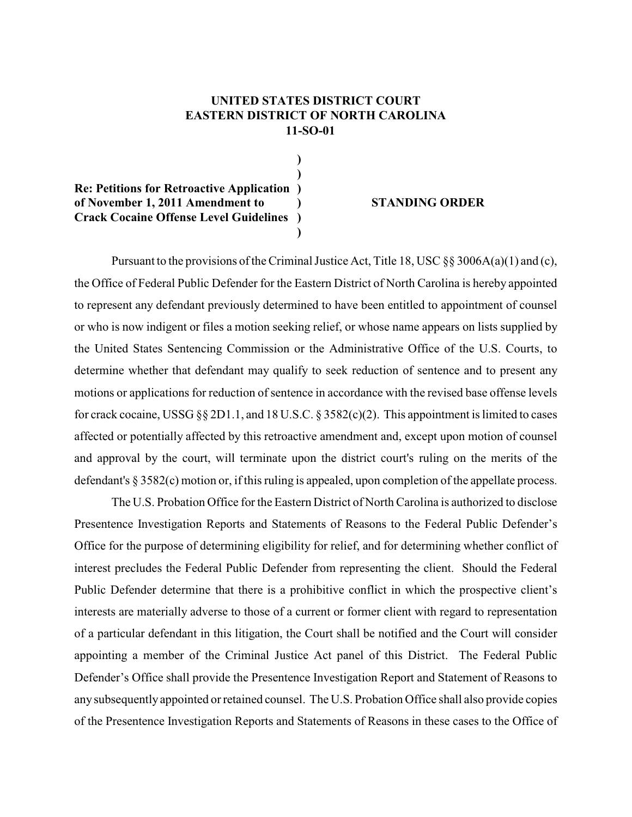## **UNITED STATES DISTRICT COURT EASTERN DISTRICT OF NORTH CAROLINA 11-SO-01**

**)**

**) Re: Petitions for Retroactive Application ) of November 1, 2011 Amendment to ) STANDING ORDER Crack Cocaine Offense Level Guidelines ) )**

Pursuant to the provisions of the Criminal Justice Act, Title 18, USC  $\S$ § 3006A(a)(1) and (c), the Office of Federal Public Defender for the Eastern District of North Carolina is hereby appointed to represent any defendant previously determined to have been entitled to appointment of counsel or who is now indigent or files a motion seeking relief, or whose name appears on lists supplied by the United States Sentencing Commission or the Administrative Office of the U.S. Courts, to determine whether that defendant may qualify to seek reduction of sentence and to present any motions or applications for reduction of sentence in accordance with the revised base offense levels for crack cocaine, USSG §§ 2D1.1, and 18 U.S.C. § 3582(c)(2). This appointment is limited to cases affected or potentially affected by this retroactive amendment and, except upon motion of counsel and approval by the court, will terminate upon the district court's ruling on the merits of the defendant's § 3582(c) motion or, if this ruling is appealed, upon completion of the appellate process.

The U.S. Probation Office for the Eastern District of North Carolina is authorized to disclose Presentence Investigation Reports and Statements of Reasons to the Federal Public Defender's Office for the purpose of determining eligibility for relief, and for determining whether conflict of interest precludes the Federal Public Defender from representing the client. Should the Federal Public Defender determine that there is a prohibitive conflict in which the prospective client's interests are materially adverse to those of a current or former client with regard to representation of a particular defendant in this litigation, the Court shall be notified and the Court will consider appointing a member of the Criminal Justice Act panel of this District. The Federal Public Defender's Office shall provide the Presentence Investigation Report and Statement of Reasons to any subsequently appointed or retained counsel. The U.S. Probation Office shall also provide copies of the Presentence Investigation Reports and Statements of Reasons in these cases to the Office of